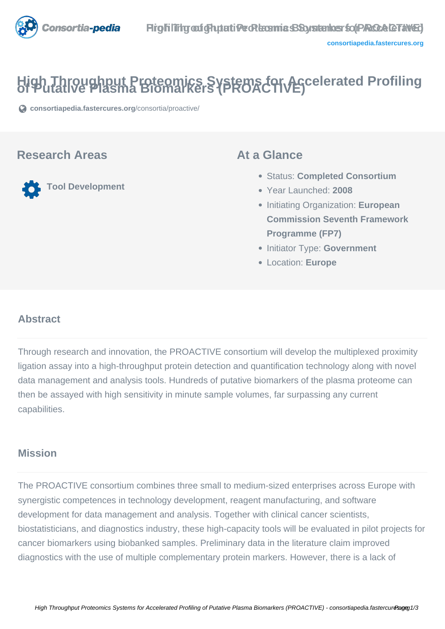

# **High Throughput Proteomics Systems for Accelerated Profiling of Putative Plasma Biomarkers (PROACTIVE)**

**[consortiapedia.fastercures.org](https://consortiapedia.fastercures.org/consortia/proactive/)**[/consortia/proactive/](https://consortiapedia.fastercures.org/consortia/proactive/)

### **Research Areas**

**Tool Development**

### **At a Glance**

- Status: **Completed Consortium**
- Year Launched: **2008**
- Initiating Organization: **European Commission Seventh Framework Programme (FP7)**
- **Initiator Type: Government**
- Location: **Europe**

#### $\overline{a}$ **Abstract**

Through research and innovation, the PROACTIVE consortium will develop the multiplexed proximity ligation assay into a high-throughput protein detection and quantification technology along with novel data management and analysis tools. Hundreds of putative biomarkers of the plasma proteome can then be assayed with high sensitivity in minute sample volumes, far surpassing any current capabilities.

# **Mission**

The PROACTIVE consortium combines three small to medium-sized enterprises across Europe with synergistic competences in technology development, reagent manufacturing, and software development for data management and analysis. Together with clinical cancer scientists, biostatisticians, and diagnostics industry, these high-capacity tools will be evaluated in pilot projects for cancer biomarkers using biobanked samples. Preliminary data in the literature claim improved diagnostics with the use of multiple complementary protein markers. However, there is a lack of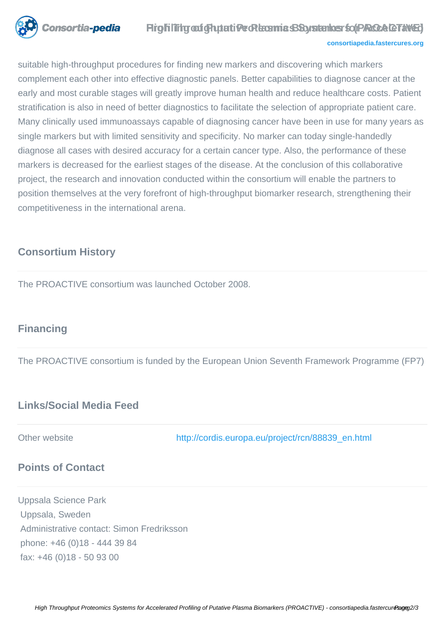

### **Prightling out Ghytati Peckers mic SSoustemes for PROCA GTAVED**

#### **[consortiapedia.fastercures.org](http://consortiapedia.fastercures.org/)**

suitable high-throughput procedures for finding new markers and discovering which markers complement each other into effective diagnostic panels. Better capabilities to diagnose cancer at the early and most curable stages will greatly improve human health and reduce healthcare costs. Patient stratification is also in need of better diagnostics to facilitate the selection of appropriate patient care. Many clinically used immunoassays capable of diagnosing cancer have been in use for many years as single markers but with limited sensitivity and specificity. No marker can today single-handedly diagnose all cases with desired accuracy for a certain cancer type. Also, the performance of these markers is decreased for the earliest stages of the disease. At the conclusion of this collaborative project, the research and innovation conducted within the consortium will enable the partners to position themselves at the very forefront of high-throughput biomarker research, strengthening their competitiveness in the international arena.

## **Consortium History**

The PROACTIVE consortium was launched October 2008.

### **Financing**

The PROACTIVE consortium is funded by the European Union Seventh Framework Programme (FP7)

## **Links/Social Media Feed**

Other website [http://cordis.europa.eu/project/rcn/88839\\_en.html](http://cordis.europa.eu/project/rcn/88839_en.html)

### **Points of Contact**

Uppsala Science Park Uppsala, Sweden Administrative contact: Simon Fredriksson phone: +46 (0)18 - 444 39 84 fax: +46 (0)18 - 50 93 00